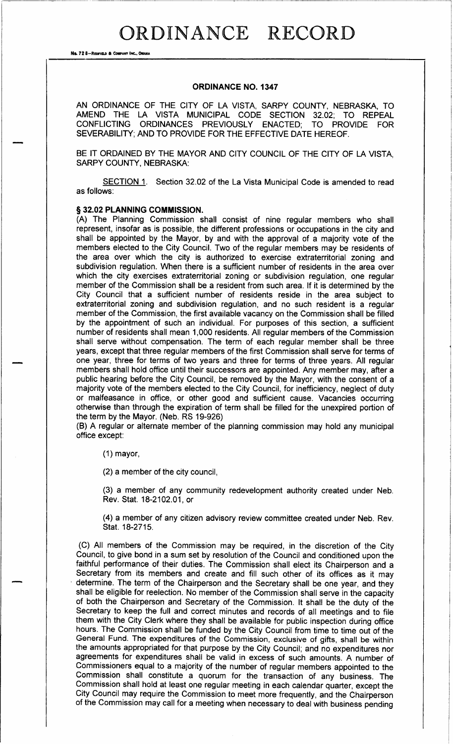## ORDINANCE RECORD

No. 72 8-REDFIELD & COMPANY INC., OMAHA

Olummt

## ORDINANCE NO. 1347

AN ORDINANCE OF THE CITY OF LA VISTA, SARPY COUNTY, NEBRASKA, TO AMEND THE LA VISTA MUNICIPAL CODE SECTION 32.02; TO REPEAL CONFLICTING ORDINANCES PREVIOUSLY ENACTED; TO PROVIDE FOR SEVERABILITY; AND TO PROVIDE FOR THE EFFECTIVE DATE HEREOF.

BE IT ORDAINED BY THE MAYOR AND CITY COUNCIL OF THE CITY OF LA VISTA, SARPY COUNTY, NEBRASKA:

SECTION 1. Section 32.02 of the La Vista Municipal Code is amended to read as follows:

## § 32.02 PLANNING COMMISSION.

A) The Planning Commission shall consist of nine regular members who shall represent, insofar as is possible, the different professions or occupations in the city and shall be appointed by the Mayor, by and with the approval of a majority vote of the members elected to the City Council. Two of the regular members may be residents of the area over which the city is authorized to exercise extraterritorial zoning and subdivision regulation. When there is a sufficient number of residents in the area over which the city exercises extraterritorial zoning or subdivision regulation, one regular member of the Commission shall be a resident from such area. If it is determined by the City Council that a sufficient number of residents reside in the area subject to extraterritorial zoning and subdivision regulation, and no such resident is a regular member of the Commission, the first available vacancy on the Commission shall be filled by the appointment of such an individual. For purposes of this section, a sufficient number of residents shall mean 1, 000 residents. All regular members of the Commission shall serve without compensation. The term of each regular member shall be three years, except that three regular members of the first Commission shall serve for terms of one year, three for terms of two years and three for terms of three years. All regular members shall hold office until their successors are appointed. Any member may, after a public hearing before the City Council, be removed by the Mayor, with the consent of a majority vote of the members elected to the City Council, for inefficiency, neglect of duty or malfeasance in office, or other good and sufficient cause. Vacancies occurring otherwise than through the expiration of term shall be filled for the unexpired portion of the term by the Mayor. (Neb. RS 19-926)

B) A regular or alternate member of the planning commission may hold any municipal office except:

1) mayor,

2) a member of the city council,

3) a member of any community redevelopment authority created under Neb. Rev. Stat. 18-2102.01, or

4) a member of any citizen advisory review committee created under Neb. Rev. Stat. 18-2715.

C) All members of the Commission may be required, in the discretion of the City Council, to give bond in a sum set by resolution of the Council and conditioned upon the faithful performance of their duties. The Commission shall elect its Chairperson and a Secretary from its members and create and fill such other of its offices as it may determine. The term of the Chairperson and the Secretary shall be one year, and they shall be eligible for reelection. No member of the Commission shall serve in the capacity of both the Chairperson and Secretary of the Commission. It shall be the duty of the Secretary to keep the full and correct minutes and records of all meetings and to file them with the City Clerk where they shall be available for public inspection during office hours. The Commission shall be funded by the City Council from time to time out of the General Fund. The expenditures of the Commission, exclusive of gifts, shall be within the amounts appropriated for that purpose by the City Council; and no expenditures nor agreements for expenditures shall be valid in excess of such amounts. A number of Commissioners equal to a majority of the number of regular members appointed to the Commission shall constitute <sup>a</sup> quorum for the transaction of any business. The Commission shall hold at least one regular meeting in each calendar quarter, except the City Council may require the Commission to meet more frequently, and the Chairperson of the Commission may call for <sup>a</sup> meeting when necessary to deal with business pending